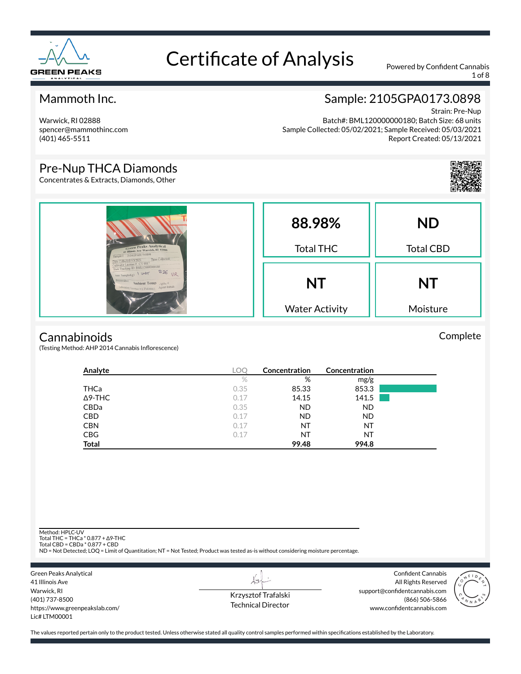

1 of 8

### Mammoth Inc.

Warwick, RI 02888 spencer@mammothinc.com (401) 465-5511

### Sample: 2105GPA0173.0898

Strain: Pre-Nup Batch#: BML120000000180; Batch Size: 68 units Sample Collected: 05/02/2021; Sample Received: 05/03/2021 Report Created: 05/13/2021

#### Pre-Nup THCA Diamonds

Concentrates & Extracts, Diamonds, Other

| <b>Green Peaks Analytical</b>                                                                                                                                                                                                                                         | 88.98%<br><b>Total THC</b> | <b>ND</b><br><b>Total CBD</b> |
|-----------------------------------------------------------------------------------------------------------------------------------------------------------------------------------------------------------------------------------------------------------------------|----------------------------|-------------------------------|
| Sample I : 2104GPA0173.0898<br>Tune Collected<br>Date Collected 5 3 2021<br>Cultivator License # CV 0017<br>State Tracking ID: BML120000000180<br>Ann Sampledig)   WVT<br><b>Vreservative</b><br>Ambient Temp Agenc#<br>Laboratory License = LTM00001 Agent Initials: |                            |                               |
|                                                                                                                                                                                                                                                                       | <b>NT</b>                  | <b>NT</b>                     |
|                                                                                                                                                                                                                                                                       | <b>Water Activity</b>      | Moisture                      |

#### **Cannabinoids**

(Testing Method: AHP 2014 Cannabis Inflorescence)

| Analyte        | ∟O⊆  | Concentration | Concentration |  |
|----------------|------|---------------|---------------|--|
|                | $\%$ | %             | mg/g          |  |
| THCa           | 0.35 | 85.33         | 853.3         |  |
| $\Delta$ 9-THC | 0.17 | 14.15         | 141.5         |  |
| CBDa           | 0.35 | <b>ND</b>     | <b>ND</b>     |  |
| <b>CBD</b>     | 0.17 | ND.           | <b>ND</b>     |  |
| <b>CBN</b>     | 0.17 | NT            | NT            |  |
| <b>CBG</b>     | 0.17 | NT            | NT            |  |
| <b>Total</b>   |      | 99.48         | 994.8         |  |

Method: HPLC-UV

Total THC = THCa \* 0.877 + ∆9-THC Total CBD = CBDa \* 0.877 + CBD

ND = Not Detected; LOQ = Limit of Quantitation; NT = Not Tested; Product was tested as-is without considering moisture percentage.

Green Peaks Analytical 41 Illinois Ave Warwick, RI (401) 737-8500 https://www.greenpeakslab.com/ Lic# LTM00001

Krzysztof Trafalski Technical Director

LS

Confident Cannabis All Rights Reserved support@confidentcannabis.com (866) 506-5866 www.confidentcannabis.com



The values reported pertain only to the product tested. Unless otherwise stated all quality control samples performed within specifications established by the Laboratory.

Complete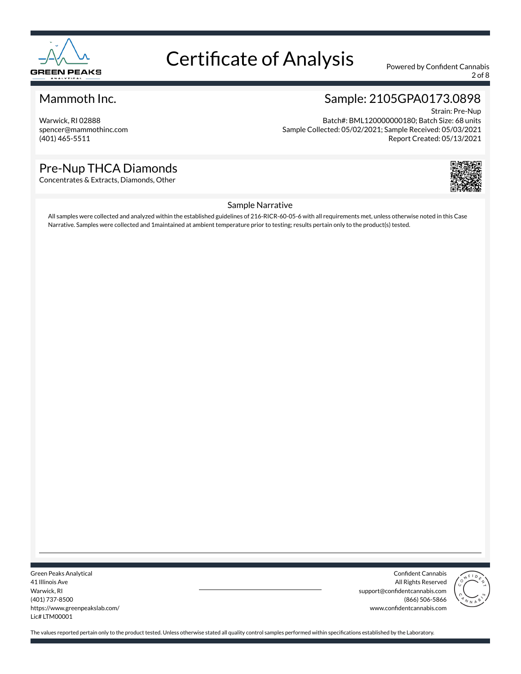

2 of 8

#### Mammoth Inc.

Warwick, RI 02888 spencer@mammothinc.com (401) 465-5511

#### Sample: 2105GPA0173.0898 Strain: Pre-Nup

Batch#: BML120000000180; Batch Size: 68 units Sample Collected: 05/02/2021; Sample Received: 05/03/2021 Report Created: 05/13/2021

### Pre-Nup THCA Diamonds

Concentrates & Extracts, Diamonds, Other



#### Sample Narrative

All samples were collected and analyzed within the established guidelines of 216-RICR-60-05-6 with all requirements met, unless otherwise noted in this Case Narrative. Samples were collected and 1maintained at ambient temperature prior to testing; results pertain only to the product(s) tested.

Green Peaks Analytical 41 Illinois Ave Warwick, RI (401) 737-8500 https://www.greenpeakslab.com/ Lic# LTM00001

Confident Cannabis All Rights Reserved support@confidentcannabis.com (866) 506-5866 www.confidentcannabis.com

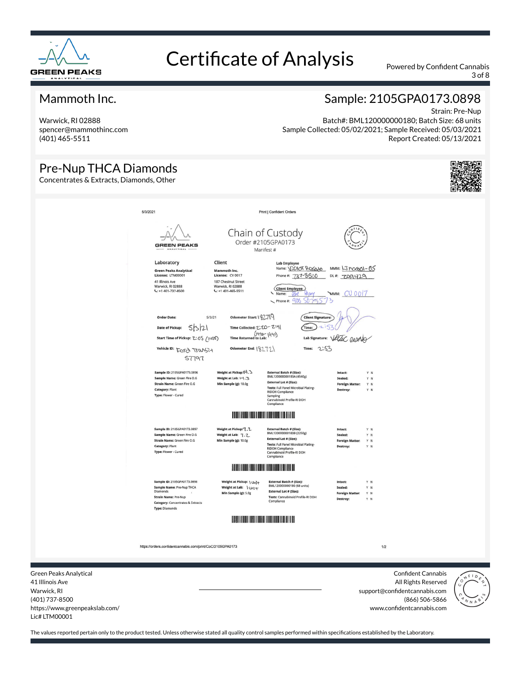

3 of 8

#### Mammoth Inc.

Warwick, RI 02888 spencer@mammothinc.com (401) 465-5511

### Sample: 2105GPA0173.0898

Strain: Pre-Nup Batch#: BML120000000180; Batch Size: 68 units Sample Collected: 05/02/2021; Sample Received: 05/03/2021 Report Created: 05/13/2021

| <b>Pre-Nup THCA Diamonds</b><br>Concentrates & Extracts, Diamonds, Other |                                                                                                                                                                                                                         |                                                                                                                                                                                       |                                                                                                                                                                                                                                              |                                                                                      |     |                                                  |                                                                                                                                                                                                                                                                                                                                                                |
|--------------------------------------------------------------------------|-------------------------------------------------------------------------------------------------------------------------------------------------------------------------------------------------------------------------|---------------------------------------------------------------------------------------------------------------------------------------------------------------------------------------|----------------------------------------------------------------------------------------------------------------------------------------------------------------------------------------------------------------------------------------------|--------------------------------------------------------------------------------------|-----|--------------------------------------------------|----------------------------------------------------------------------------------------------------------------------------------------------------------------------------------------------------------------------------------------------------------------------------------------------------------------------------------------------------------------|
| 5/3/2021                                                                 | <b>GREEN PEAKS</b><br>Laboratory<br><b>Green Peaks Analytical</b><br>License: LTM00001<br>41 Illinois Ave<br>Warwick, RI 02888                                                                                          | Client<br>Mammoth Inc.<br>License: CV 0017<br>187 Chestnut Street<br>Warwick, RI 02888                                                                                                | Print   Confident Orders<br>Chain of Custody<br>Order #2105GPA0173<br>Manifest #<br><b>Lab Employee</b><br>Name: VICTOT POSOAS MMM: LJMOGO01-05<br>Phone #: 737-8500<br>Client Employee                                                      | DL#700420                                                                            |     |                                                  |                                                                                                                                                                                                                                                                                                                                                                |
|                                                                          | $C: +1 401 - 737 - 8500$<br><b>Order Date:</b><br>5521<br><b>Date of Pickup:</b><br>Start Time of Pickup: Z:05 (1465)<br>Vehicle ID: FOTO TTWSTY<br>57797<br>Sample ID: 2105GPA0173.0896<br>Sample Name: Green Fire O.G | $L: +1401 - 465 - 5511$<br>Odometer Start: \ \7719<br>5/3/21<br>Time Collected: 2:20-2:41<br>$(y + 70)$ (441)<br>Odometer End: 18272<br>Weight at Pickup: 14.3<br>Weight at Lab: 14.3 | Name: Zee<br><b>VEON-</b><br>$R$ Phone #: $905$ $5075$<br><b>Client Signature:</b><br>$\sim$<br>Time:<br><b>Lab Signature:</b><br>Time: 2.53<br><b>External Batch # (Size):</b><br>BML120000000183A (4540g)<br><b>External Lot # (Size):</b> | WMM: CU0017<br>Veruc assara<br>Y N<br>Intact:<br>Sealed:<br>Y N                      |     |                                                  |                                                                                                                                                                                                                                                                                                                                                                |
|                                                                          | Strain Name: Green Fire O.G<br>Category: Plant<br>Type: Flower - Cured<br>Sample ID: 2105GPA0173.0897<br>Sample Name: Green Fire O.G                                                                                    | Min Sample (g): 10.0g<br>Weight at Pickup: 7. 7<br>Weight at Lab: 7.2                                                                                                                 | Tests: Full Panel Microbial Plating-<br><b>RIDOH Compliance</b><br>Sampling<br>Cannabinoid Profile-RI DOH<br>Compliance<br>External Batch # (Size):<br>BML120000000183B (2250g)                                                              | <b>Foreign Matter:</b><br>Y N<br>Destroy:<br>Y N<br>Y N<br>Intact:<br>Sealed:<br>Y N |     |                                                  |                                                                                                                                                                                                                                                                                                                                                                |
|                                                                          | Strain Name: Green Fire O.G<br>Category: Plant<br>Type: Flower - Cured<br>Sample ID: 2105GPA0173.0898                                                                                                                   | Min Sample (g): 10.0g<br><b>HULLING</b><br>Weight at Pickup: \ Un\+                                                                                                                   | <b>External Lot # (Size):</b><br>Tests: Full Panel Microbial Plating-<br>RIDOH Compliance<br>Cannabinoid Profile-RI DOH<br>Compliance<br><u> III III III III III II</u><br><b>External Batch # (Size):</b><br>BML120000000180 (68 units)     | <b>Foreign Matter:</b><br>Y N<br>Destroy:<br>Y N<br>Intact:<br>Y N                   |     |                                                  |                                                                                                                                                                                                                                                                                                                                                                |
|                                                                          | Sample Name: Pre-Nup THCA<br><b>Diamonds</b><br><b>Strain Name: Pre-Nup</b><br><b>Category: Concentrates &amp; Extracts</b><br><b>Type: Diamonds</b>                                                                    | Weight at Lab: \ Un)+<br>Min Sample (g): 5.0g                                                                                                                                         | <b>External Lot # (Size):</b><br>Tests: Cannabinoid Profile-RI DOH<br>Compliance                                                                                                                                                             | Sealed:<br>Y N<br><b>Foreign Matter:</b><br>YN<br>Destroy:<br>Y N                    |     |                                                  |                                                                                                                                                                                                                                                                                                                                                                |
| <b>Green Peaks Analytical</b><br>41 Illinois Ave                         | https://orders.confidentcannabis.com/print/CoC/2105GPA0173                                                                                                                                                              |                                                                                                                                                                                       |                                                                                                                                                                                                                                              |                                                                                      | 1/2 | <b>Confident Cannabis</b><br>All Rights Reserved | $\begin{picture}(180,10) \put(0,0){\line(1,0){10}} \put(10,0){\line(1,0){10}} \put(10,0){\line(1,0){10}} \put(10,0){\line(1,0){10}} \put(10,0){\line(1,0){10}} \put(10,0){\line(1,0){10}} \put(10,0){\line(1,0){10}} \put(10,0){\line(1,0){10}} \put(10,0){\line(1,0){10}} \put(10,0){\line(1,0){10}} \put(10,0){\line(1,0){10}} \put(10,0){\line($<br>$\circ$ |

 $\overline{4}$ Warwick, RI (401) 737-8500 https://www.greenpeakslab.com/ Lic# LTM00001

support@confidentcannabis.com (866) 506-5866 www.confidentcannabis.com

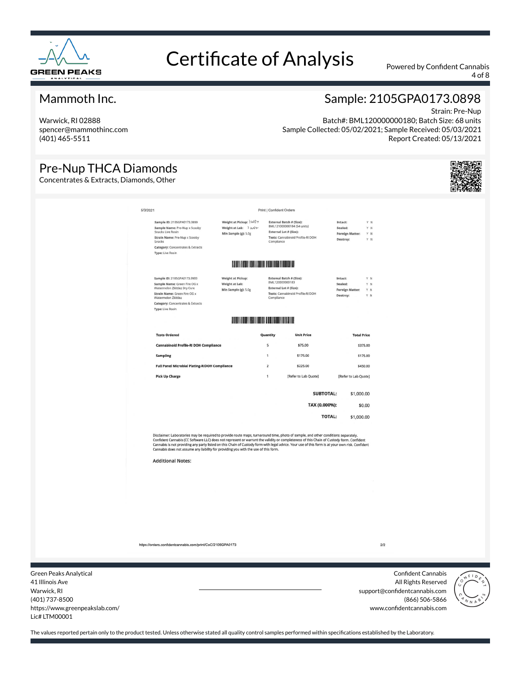

4 of 8

#### Mammoth Inc.

Warwick, RI 02888 spencer@mammothinc.com (401) 465-5511

#### Strain: Pre-Nup Batch#: BML120000000180; Batch Size: 68 units Sample Collected: 05/02/2021; Sample Received: 05/03/2021 Report Created: 05/13/2021

Sample: 2105GPA0173.0898

### Pre-Nup THCA Diamonds

Concentrates & Extracts, Diamonds, Other



| 5/3/2021<br><b>Print   Confident Orders</b><br>Weight at Pickup: UNST<br>Sample ID: 2105GPA0173.0899<br>External Batch # (Size):<br>Intact:<br>Y N<br>BML121000000184 (54 units)<br>Weight at Lab: ) UNY<br>Sample Name: Pre-Nup x Scooby<br>Sealed:<br>Y N<br>Snacks Live Rosin<br>External Lot # (Size):<br>Min Sample (g): 5.0g<br><b>Foreign Matter:</b><br>YN<br>Tests: Cannabinoid Profile-RI DOH<br>Strain Name: Pre-Nup x Scooby<br>Destroy:<br>Y N<br>Snacks<br>Compliance<br><b>Category:</b> Concentrates & Extracts<br><b>Type: Live Rosin</b><br><b>DESCRIPTION AND ARRANGEMENT OF A PRODUCT</b><br>Weight at Pickup:<br>Sample ID: 2105GPA0173.0900<br><b>External Batch # (Size):</b><br>Intact:<br>Y N<br>BML120000000183<br>Sample Name: Green Fire OG x<br>Weight at Lab:<br>Sealed:<br>Y N<br>External Lot # (Size):<br>Watermelon Zkittlez Dry Cure<br>Min Sample (g): 5.0g<br><b>Foreign Matter:</b><br>Y N<br>Tests: Cannabinoid Profile-RI DOH<br>Strain Name: Green Fire OG x<br>Destroy:<br>Y N<br>Watermelon Zkittlez<br>Compliance<br><b>Category: Concentrates &amp; Extracts</b><br>Type: Live Rosin<br><b>Tests Ordered</b><br><b>Unit Price</b><br><b>Total Price</b><br>Quantity<br>5<br><b>Cannabinoid Profile-RI DOH Compliance</b><br>\$75.00<br>\$375.00<br><b>Sampling</b><br>\$175.00<br>1<br>\$175.00<br><b>Full Panel Microbial Plating-RIDOH Compliance</b><br>$\overline{2}$<br>\$225.00<br>\$450.00<br>[Refer to Lab Quote]<br><b>Pick Up Charge</b><br>$\mathbf{1}$<br>[Refer to Lab Quote]<br><b>SUBTOTAL:</b><br>\$1,000.00<br>TAX (0.000%):<br>\$0.00<br><b>TOTAL:</b><br>\$1,000.00<br>Disclaimer: Laboratories may be required to provide route maps, turnaround time, photo of sample, and other conditions separately.<br>Confident Cannabis (CC Software LLC) does not represent or warrant the validity or completeness of this Chain of Custody form. Confident<br>Cannabis is not providing any party listed on this Chain of Custody form with legal advice. Your use of this form is at your own risk. Confident<br>Cannabis does not assume any liability for providing you with the use of this form.<br><b>Additional Notes:</b> |  |  |  |  |
|----------------------------------------------------------------------------------------------------------------------------------------------------------------------------------------------------------------------------------------------------------------------------------------------------------------------------------------------------------------------------------------------------------------------------------------------------------------------------------------------------------------------------------------------------------------------------------------------------------------------------------------------------------------------------------------------------------------------------------------------------------------------------------------------------------------------------------------------------------------------------------------------------------------------------------------------------------------------------------------------------------------------------------------------------------------------------------------------------------------------------------------------------------------------------------------------------------------------------------------------------------------------------------------------------------------------------------------------------------------------------------------------------------------------------------------------------------------------------------------------------------------------------------------------------------------------------------------------------------------------------------------------------------------------------------------------------------------------------------------------------------------------------------------------------------------------------------------------------------------------------------------------------------------------------------------------------------------------------------------------------------------------------------------------------------------------------------------------------------------------------------------------------------------------------------------------|--|--|--|--|
|                                                                                                                                                                                                                                                                                                                                                                                                                                                                                                                                                                                                                                                                                                                                                                                                                                                                                                                                                                                                                                                                                                                                                                                                                                                                                                                                                                                                                                                                                                                                                                                                                                                                                                                                                                                                                                                                                                                                                                                                                                                                                                                                                                                              |  |  |  |  |
|                                                                                                                                                                                                                                                                                                                                                                                                                                                                                                                                                                                                                                                                                                                                                                                                                                                                                                                                                                                                                                                                                                                                                                                                                                                                                                                                                                                                                                                                                                                                                                                                                                                                                                                                                                                                                                                                                                                                                                                                                                                                                                                                                                                              |  |  |  |  |
|                                                                                                                                                                                                                                                                                                                                                                                                                                                                                                                                                                                                                                                                                                                                                                                                                                                                                                                                                                                                                                                                                                                                                                                                                                                                                                                                                                                                                                                                                                                                                                                                                                                                                                                                                                                                                                                                                                                                                                                                                                                                                                                                                                                              |  |  |  |  |
|                                                                                                                                                                                                                                                                                                                                                                                                                                                                                                                                                                                                                                                                                                                                                                                                                                                                                                                                                                                                                                                                                                                                                                                                                                                                                                                                                                                                                                                                                                                                                                                                                                                                                                                                                                                                                                                                                                                                                                                                                                                                                                                                                                                              |  |  |  |  |
|                                                                                                                                                                                                                                                                                                                                                                                                                                                                                                                                                                                                                                                                                                                                                                                                                                                                                                                                                                                                                                                                                                                                                                                                                                                                                                                                                                                                                                                                                                                                                                                                                                                                                                                                                                                                                                                                                                                                                                                                                                                                                                                                                                                              |  |  |  |  |
|                                                                                                                                                                                                                                                                                                                                                                                                                                                                                                                                                                                                                                                                                                                                                                                                                                                                                                                                                                                                                                                                                                                                                                                                                                                                                                                                                                                                                                                                                                                                                                                                                                                                                                                                                                                                                                                                                                                                                                                                                                                                                                                                                                                              |  |  |  |  |
|                                                                                                                                                                                                                                                                                                                                                                                                                                                                                                                                                                                                                                                                                                                                                                                                                                                                                                                                                                                                                                                                                                                                                                                                                                                                                                                                                                                                                                                                                                                                                                                                                                                                                                                                                                                                                                                                                                                                                                                                                                                                                                                                                                                              |  |  |  |  |
|                                                                                                                                                                                                                                                                                                                                                                                                                                                                                                                                                                                                                                                                                                                                                                                                                                                                                                                                                                                                                                                                                                                                                                                                                                                                                                                                                                                                                                                                                                                                                                                                                                                                                                                                                                                                                                                                                                                                                                                                                                                                                                                                                                                              |  |  |  |  |
|                                                                                                                                                                                                                                                                                                                                                                                                                                                                                                                                                                                                                                                                                                                                                                                                                                                                                                                                                                                                                                                                                                                                                                                                                                                                                                                                                                                                                                                                                                                                                                                                                                                                                                                                                                                                                                                                                                                                                                                                                                                                                                                                                                                              |  |  |  |  |
|                                                                                                                                                                                                                                                                                                                                                                                                                                                                                                                                                                                                                                                                                                                                                                                                                                                                                                                                                                                                                                                                                                                                                                                                                                                                                                                                                                                                                                                                                                                                                                                                                                                                                                                                                                                                                                                                                                                                                                                                                                                                                                                                                                                              |  |  |  |  |
|                                                                                                                                                                                                                                                                                                                                                                                                                                                                                                                                                                                                                                                                                                                                                                                                                                                                                                                                                                                                                                                                                                                                                                                                                                                                                                                                                                                                                                                                                                                                                                                                                                                                                                                                                                                                                                                                                                                                                                                                                                                                                                                                                                                              |  |  |  |  |
|                                                                                                                                                                                                                                                                                                                                                                                                                                                                                                                                                                                                                                                                                                                                                                                                                                                                                                                                                                                                                                                                                                                                                                                                                                                                                                                                                                                                                                                                                                                                                                                                                                                                                                                                                                                                                                                                                                                                                                                                                                                                                                                                                                                              |  |  |  |  |
|                                                                                                                                                                                                                                                                                                                                                                                                                                                                                                                                                                                                                                                                                                                                                                                                                                                                                                                                                                                                                                                                                                                                                                                                                                                                                                                                                                                                                                                                                                                                                                                                                                                                                                                                                                                                                                                                                                                                                                                                                                                                                                                                                                                              |  |  |  |  |
|                                                                                                                                                                                                                                                                                                                                                                                                                                                                                                                                                                                                                                                                                                                                                                                                                                                                                                                                                                                                                                                                                                                                                                                                                                                                                                                                                                                                                                                                                                                                                                                                                                                                                                                                                                                                                                                                                                                                                                                                                                                                                                                                                                                              |  |  |  |  |
|                                                                                                                                                                                                                                                                                                                                                                                                                                                                                                                                                                                                                                                                                                                                                                                                                                                                                                                                                                                                                                                                                                                                                                                                                                                                                                                                                                                                                                                                                                                                                                                                                                                                                                                                                                                                                                                                                                                                                                                                                                                                                                                                                                                              |  |  |  |  |

https://orders.confidentcannabis.com/print/CoC/2105GPA0173

Green Peaks Analytical 41 Illinois Ave Warwick, RI (401) 737-8500 https://www.greenpeakslab.com/ Lic# LTM00001

Confident Cannabis All Rights Reserved support@confidentcannabis.com (866) 506-5866 www.confidentcannabis.com

 $2/2$ 

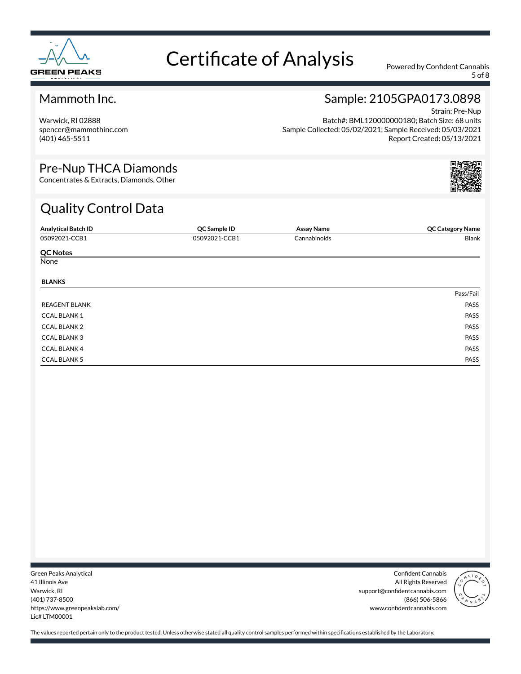

5 of 8

#### Mammoth Inc.

Warwick, RI 02888 spencer@mammothinc.com (401) 465-5511

### Sample: 2105GPA0173.0898

Strain: Pre-Nup Batch#: BML120000000180; Batch Size: 68 units Sample Collected: 05/02/2021; Sample Received: 05/03/2021 Report Created: 05/13/2021

#### Pre-Nup THCA Diamonds

Concentrates & Extracts, Diamonds, Other

## Quality Control Data

| <b>Analytical Batch ID</b> | QC Sample ID  | <b>Assay Name</b> | <b>QC Category Name</b> |
|----------------------------|---------------|-------------------|-------------------------|
| 05092021-CCB1              | 05092021-CCB1 | Cannabinoids      | Blank                   |
| <b>QC Notes</b>            |               |                   |                         |
| None                       |               |                   |                         |
| <b>BLANKS</b>              |               |                   |                         |
|                            |               |                   | Pass/Fail               |
| <b>REAGENT BLANK</b>       |               |                   | PASS                    |
| <b>CCAL BLANK1</b>         |               |                   | PASS                    |
| <b>CCAL BLANK 2</b>        |               |                   | PASS                    |
| <b>CCAL BLANK3</b>         |               |                   | PASS                    |
| <b>CCAL BLANK 4</b>        |               |                   | PASS                    |
| <b>CCAL BLANK 5</b>        |               |                   | PASS                    |

Green Peaks Analytical 41 Illinois Ave Warwick, RI (401) 737-8500 https://www.greenpeakslab.com/ Lic# LTM00001

Confident Cannabis All Rights Reserved support@confidentcannabis.com (866) 506-5866 www.confidentcannabis.com

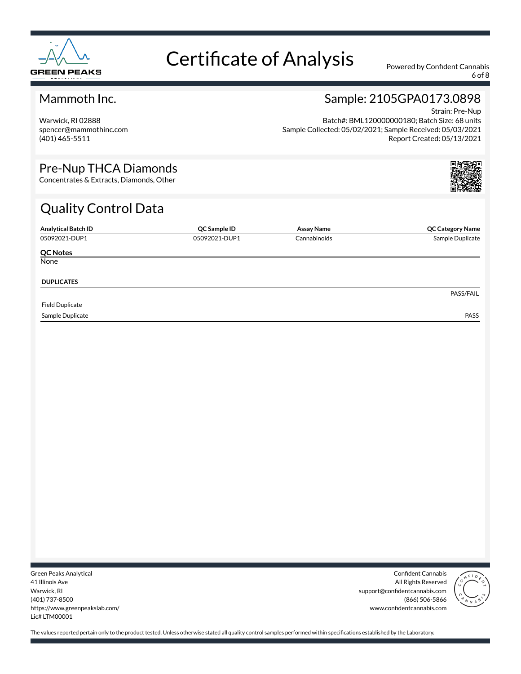

6 of 8

#### Mammoth Inc.

Warwick, RI 02888 spencer@mammothinc.com (401) 465-5511

## Sample: 2105GPA0173.0898

Strain: Pre-Nup Batch#: BML120000000180; Batch Size: 68 units Sample Collected: 05/02/2021; Sample Received: 05/03/2021 Report Created: 05/13/2021

#### Pre-Nup THCA Diamonds

Concentrates & Extracts, Diamonds, Other

## Quality Control Data

| <b>Analytical Batch ID</b> | QC Sample ID  | Assay Name   | <b>QC Category Name</b> |
|----------------------------|---------------|--------------|-------------------------|
| 05092021-DUP1              | 05092021-DUP1 | Cannabinoids | Sample Duplicate        |
| <b>QC Notes</b>            |               |              |                         |
| None                       |               |              |                         |
| <b>DUPLICATES</b>          |               |              |                         |
|                            |               |              | PASS/FAIL               |
| <b>Field Duplicate</b>     |               |              |                         |
| Sample Duplicate           |               |              | <b>PASS</b>             |

Green Peaks Analytical 41 Illinois Ave Warwick, RI (401) 737-8500 https://www.greenpeakslab.com/ Lic# LTM00001

Confident Cannabis All Rights Reserved support@confidentcannabis.com (866) 506-5866 www.confidentcannabis.com

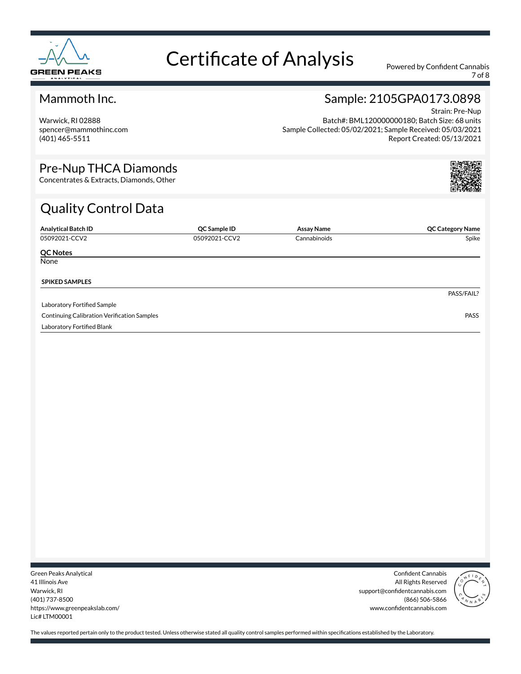

7 of 8

#### Mammoth Inc.

Warwick, RI 02888 spencer@mammothinc.com (401) 465-5511

## Sample: 2105GPA0173.0898

Strain: Pre-Nup Batch#: BML120000000180; Batch Size: 68 units Sample Collected: 05/02/2021; Sample Received: 05/03/2021 Report Created: 05/13/2021

#### Pre-Nup THCA Diamonds

Concentrates & Extracts, Diamonds, Other

## Quality Control Data

| <b>Analytical Batch ID</b>                         | QC Sample ID  | Assay Name   | <b>QC Category Name</b> |
|----------------------------------------------------|---------------|--------------|-------------------------|
| 05092021-CCV2                                      | 05092021-CCV2 | Cannabinoids | Spike                   |
| <b>QC Notes</b>                                    |               |              |                         |
| None                                               |               |              |                         |
| <b>SPIKED SAMPLES</b>                              |               |              |                         |
|                                                    |               |              | PASS/FAIL?              |
| Laboratory Fortified Sample                        |               |              |                         |
| <b>Continuing Calibration Verification Samples</b> |               |              | <b>PASS</b>             |
| Laboratory Fortified Blank                         |               |              |                         |

Green Peaks Analytical 41 Illinois Ave Warwick, RI (401) 737-8500 https://www.greenpeakslab.com/ Lic# LTM00001

Confident Cannabis All Rights Reserved support@confidentcannabis.com (866) 506-5866 www.confidentcannabis.com